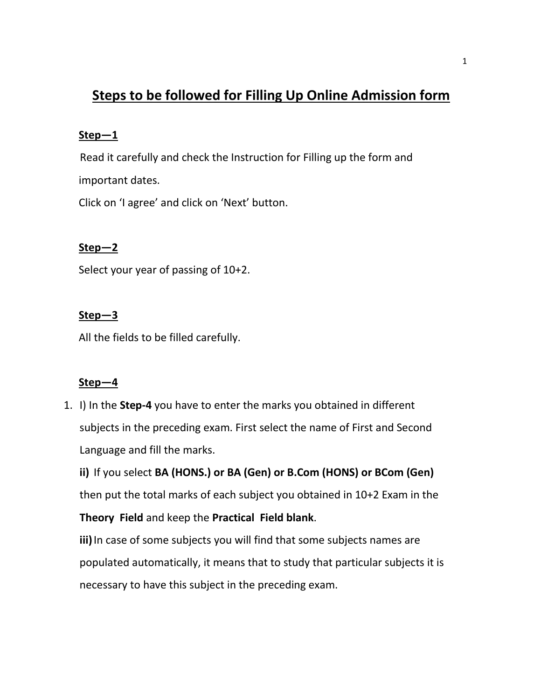# **Steps to be followed for Filling Up Online Admission form**

#### **Step—1**

Read it carefully and check the Instruction for Filling up the form and important dates.

Click on 'I agree' and click on 'Next' button.

# **Step—2**

Select your year of passing of 10+2.

## **Step—3**

All the fields to be filled carefully.

## **Step—4**

1. I) In the **Step-4** you have to enter the marks you obtained in different subjects in the preceding exam. First select the name of First and Second Language and fill the marks.

**ii)** If you select **BA (HONS.) or BA (Gen) or B.Com (HONS) or BCom (Gen)** then put the total marks of each subject you obtained in 10+2 Exam in the **Theory Field** and keep the **Practical Field blank**. **iii)** In case of some subjects you will find that some subjects names are populated automatically, it means that to study that particular subjects it is

necessary to have this subject in the preceding exam.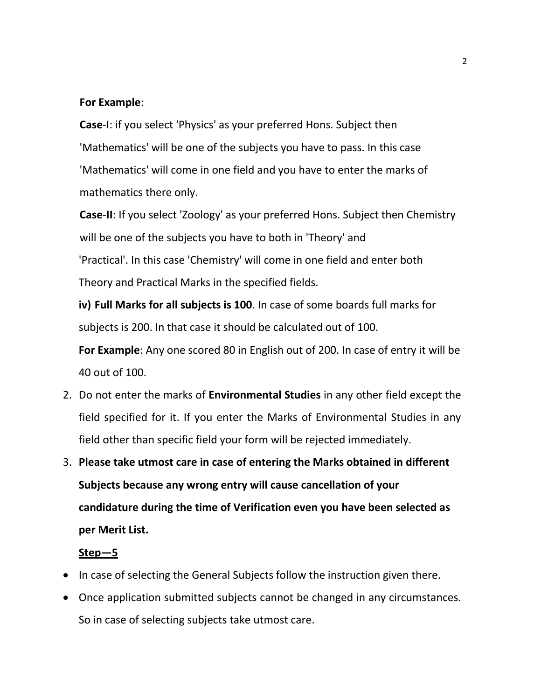#### **For Example**:

**Case**-I: if you select 'Physics' as your preferred Hons. Subject then 'Mathematics' will be one of the subjects you have to pass. In this case 'Mathematics' will come in one field and you have to enter the marks of mathematics there only.

**Case**-**II**: If you select 'Zoology' as your preferred Hons. Subject then Chemistry will be one of the subjects you have to both in 'Theory' and 'Practical'. In this case 'Chemistry' will come in one field and enter both Theory and Practical Marks in the specified fields.

**iv) Full Marks for all subjects is 100**. In case of some boards full marks for subjects is 200. In that case it should be calculated out of 100.

**For Example**: Any one scored 80 in English out of 200. In case of entry it will be 40 out of 100.

- 2. Do not enter the marks of **Environmental Studies** in any other field except the field specified for it. If you enter the Marks of Environmental Studies in any field other than specific field your form will be rejected immediately.
- 3. **Please take utmost care in case of entering the Marks obtained in different Subjects because any wrong entry will cause cancellation of your candidature during the time of Verification even you have been selected as per Merit List.**

#### **Step—5**

- In case of selecting the General Subjects follow the instruction given there.
- Once application submitted subjects cannot be changed in any circumstances. So in case of selecting subjects take utmost care.